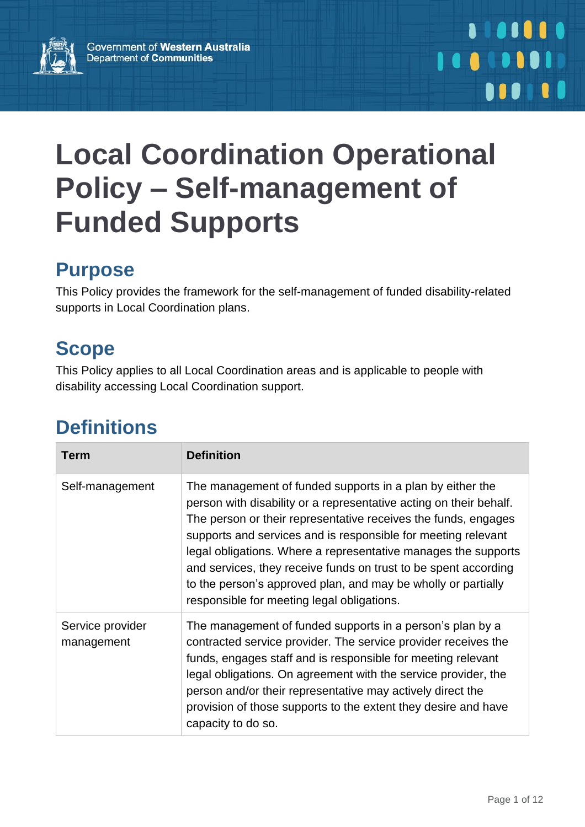

# **Local Coordination Operational Policy – Self-management of Funded Supports**

# **Purpose**

This Policy provides the framework for the self-management of funded disability-related supports in Local Coordination plans.

# **Scope**

This Policy applies to all Local Coordination areas and is applicable to people with disability accessing Local Coordination support.

# **Definitions**

| Term                           | <b>Definition</b>                                                                                                                                                                                                                                                                                                                                                                                                                                                                                                      |
|--------------------------------|------------------------------------------------------------------------------------------------------------------------------------------------------------------------------------------------------------------------------------------------------------------------------------------------------------------------------------------------------------------------------------------------------------------------------------------------------------------------------------------------------------------------|
| Self-management                | The management of funded supports in a plan by either the<br>person with disability or a representative acting on their behalf.<br>The person or their representative receives the funds, engages<br>supports and services and is responsible for meeting relevant<br>legal obligations. Where a representative manages the supports<br>and services, they receive funds on trust to be spent according<br>to the person's approved plan, and may be wholly or partially<br>responsible for meeting legal obligations. |
| Service provider<br>management | The management of funded supports in a person's plan by a<br>contracted service provider. The service provider receives the<br>funds, engages staff and is responsible for meeting relevant<br>legal obligations. On agreement with the service provider, the<br>person and/or their representative may actively direct the<br>provision of those supports to the extent they desire and have<br>capacity to do so.                                                                                                    |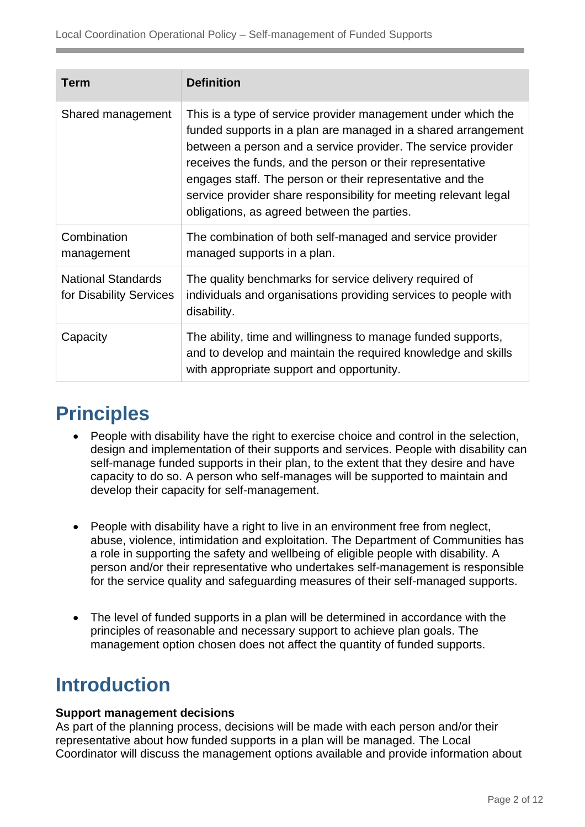| <b>Term</b>                                          | <b>Definition</b>                                                                                                                                                                                                                                                                                                                                                                                                                             |  |
|------------------------------------------------------|-----------------------------------------------------------------------------------------------------------------------------------------------------------------------------------------------------------------------------------------------------------------------------------------------------------------------------------------------------------------------------------------------------------------------------------------------|--|
| Shared management                                    | This is a type of service provider management under which the<br>funded supports in a plan are managed in a shared arrangement<br>between a person and a service provider. The service provider<br>receives the funds, and the person or their representative<br>engages staff. The person or their representative and the<br>service provider share responsibility for meeting relevant legal<br>obligations, as agreed between the parties. |  |
| Combination<br>management                            | The combination of both self-managed and service provider<br>managed supports in a plan.                                                                                                                                                                                                                                                                                                                                                      |  |
| <b>National Standards</b><br>for Disability Services | The quality benchmarks for service delivery required of<br>individuals and organisations providing services to people with<br>disability.                                                                                                                                                                                                                                                                                                     |  |
| Capacity                                             | The ability, time and willingness to manage funded supports,<br>and to develop and maintain the required knowledge and skills<br>with appropriate support and opportunity.                                                                                                                                                                                                                                                                    |  |

# **Principles**

- People with disability have the right to exercise choice and control in the selection, design and implementation of their supports and services. People with disability can self-manage funded supports in their plan, to the extent that they desire and have capacity to do so. A person who self-manages will be supported to maintain and develop their capacity for self-management.
- People with disability have a right to live in an environment free from neglect, abuse, violence, intimidation and exploitation. The Department of Communities has a role in supporting the safety and wellbeing of eligible people with disability. A person and/or their representative who undertakes self-management is responsible for the service quality and safeguarding measures of their self-managed supports.
- The level of funded supports in a plan will be determined in accordance with the principles of reasonable and necessary support to achieve plan goals. The management option chosen does not affect the quantity of funded supports.

# **Introduction**

#### **Support management decisions**

As part of the planning process, decisions will be made with each person and/or their representative about how funded supports in a plan will be managed. The Local Coordinator will discuss the management options available and provide information about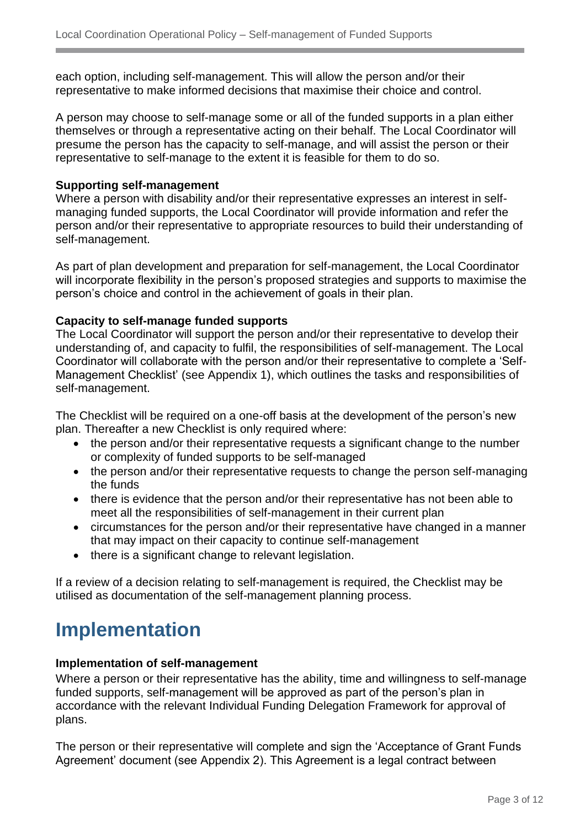each option, including self-management. This will allow the person and/or their representative to make informed decisions that maximise their choice and control.

A person may choose to self-manage some or all of the funded supports in a plan either themselves or through a representative acting on their behalf. The Local Coordinator will presume the person has the capacity to self-manage, and will assist the person or their representative to self-manage to the extent it is feasible for them to do so.

#### **Supporting self-management**

Where a person with disability and/or their representative expresses an interest in selfmanaging funded supports, the Local Coordinator will provide information and refer the person and/or their representative to appropriate resources to build their understanding of self-management.

As part of plan development and preparation for self-management, the Local Coordinator will incorporate flexibility in the person's proposed strategies and supports to maximise the person's choice and control in the achievement of goals in their plan.

#### **Capacity to self-manage funded supports**

The Local Coordinator will support the person and/or their representative to develop their understanding of, and capacity to fulfil, the responsibilities of self-management. The Local Coordinator will collaborate with the person and/or their representative to complete a 'Self-Management Checklist' (see Appendix 1), which outlines the tasks and responsibilities of self-management.

The Checklist will be required on a one-off basis at the development of the person's new plan. Thereafter a new Checklist is only required where:

- the person and/or their representative requests a significant change to the number or complexity of funded supports to be self-managed
- the person and/or their representative requests to change the person self-managing the funds
- there is evidence that the person and/or their representative has not been able to meet all the responsibilities of self-management in their current plan
- circumstances for the person and/or their representative have changed in a manner that may impact on their capacity to continue self-management
- there is a significant change to relevant legislation.

If a review of a decision relating to self-management is required, the Checklist may be utilised as documentation of the self-management planning process.

# **Implementation**

#### **Implementation of self-management**

Where a person or their representative has the ability, time and willingness to self-manage funded supports, self-management will be approved as part of the person's plan in accordance with the relevant Individual Funding Delegation Framework for approval of plans.

The person or their representative will complete and sign the 'Acceptance of Grant Funds Agreement' document (see Appendix 2). This Agreement is a legal contract between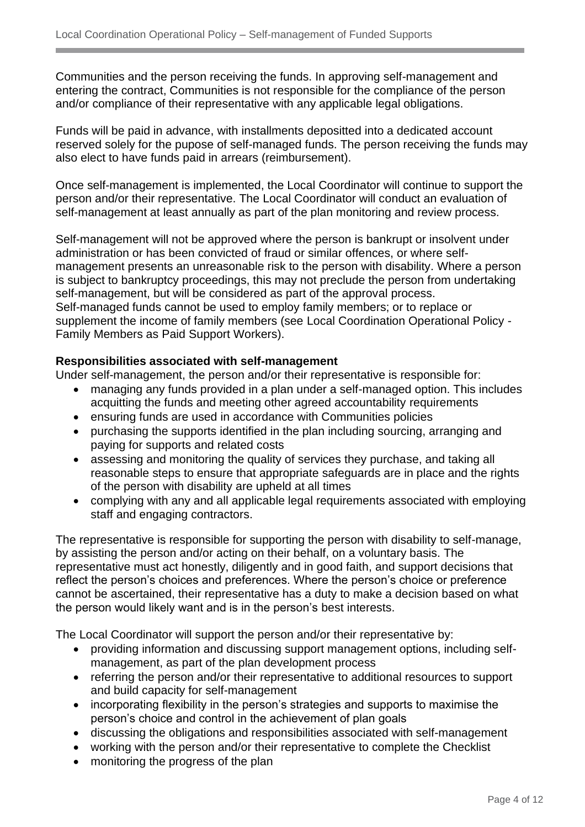Communities and the person receiving the funds. In approving self-management and entering the contract, Communities is not responsible for the compliance of the person and/or compliance of their representative with any applicable legal obligations.

Funds will be paid in advance, with installments depositted into a dedicated account reserved solely for the pupose of self-managed funds. The person receiving the funds may also elect to have funds paid in arrears (reimbursement).

Once self-management is implemented, the Local Coordinator will continue to support the person and/or their representative. The Local Coordinator will conduct an evaluation of self-management at least annually as part of the plan monitoring and review process.

Self-management will not be approved where the person is bankrupt or insolvent under administration or has been convicted of fraud or similar offences, or where selfmanagement presents an unreasonable risk to the person with disability. Where a person is subject to bankruptcy proceedings, this may not preclude the person from undertaking self-management, but will be considered as part of the approval process. Self-managed funds cannot be used to employ family members; or to replace or supplement the income of family members (see Local Coordination Operational Policy - Family Members as Paid Support Workers).

#### **Responsibilities associated with self-management**

Under self-management, the person and/or their representative is responsible for:

- managing any funds provided in a plan under a self-managed option. This includes acquitting the funds and meeting other agreed accountability requirements
- ensuring funds are used in accordance with Communities policies
- purchasing the supports identified in the plan including sourcing, arranging and paying for supports and related costs
- assessing and monitoring the quality of services they purchase, and taking all reasonable steps to ensure that appropriate safeguards are in place and the rights of the person with disability are upheld at all times
- complying with any and all applicable legal requirements associated with employing staff and engaging contractors.

The representative is responsible for supporting the person with disability to self-manage, by assisting the person and/or acting on their behalf, on a voluntary basis. The representative must act honestly, diligently and in good faith, and support decisions that reflect the person's choices and preferences. Where the person's choice or preference cannot be ascertained, their representative has a duty to make a decision based on what the person would likely want and is in the person's best interests.

The Local Coordinator will support the person and/or their representative by:

- providing information and discussing support management options, including selfmanagement, as part of the plan development process
- referring the person and/or their representative to additional resources to support and build capacity for self-management
- incorporating flexibility in the person's strategies and supports to maximise the person's choice and control in the achievement of plan goals
- discussing the obligations and responsibilities associated with self-management
- working with the person and/or their representative to complete the Checklist
- monitoring the progress of the plan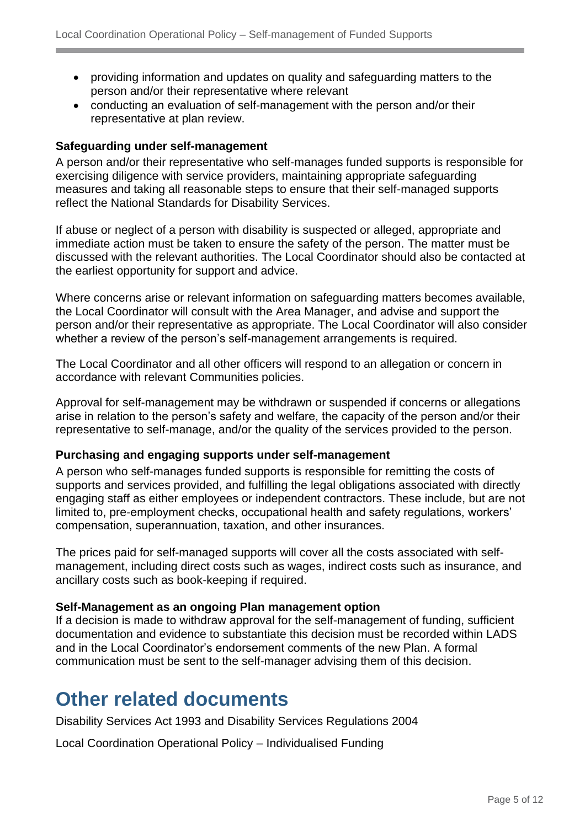- providing information and updates on quality and safeguarding matters to the person and/or their representative where relevant
- conducting an evaluation of self-management with the person and/or their representative at plan review.

#### **Safeguarding under self-management**

A person and/or their representative who self-manages funded supports is responsible for exercising diligence with service providers, maintaining appropriate safeguarding measures and taking all reasonable steps to ensure that their self-managed supports reflect the National Standards for Disability Services.

If abuse or neglect of a person with disability is suspected or alleged, appropriate and immediate action must be taken to ensure the safety of the person. The matter must be discussed with the relevant authorities. The Local Coordinator should also be contacted at the earliest opportunity for support and advice.

Where concerns arise or relevant information on safeguarding matters becomes available, the Local Coordinator will consult with the Area Manager, and advise and support the person and/or their representative as appropriate. The Local Coordinator will also consider whether a review of the person's self-management arrangements is required.

The Local Coordinator and all other officers will respond to an allegation or concern in accordance with relevant Communities policies.

Approval for self-management may be withdrawn or suspended if concerns or allegations arise in relation to the person's safety and welfare, the capacity of the person and/or their representative to self-manage, and/or the quality of the services provided to the person.

#### **Purchasing and engaging supports under self-management**

A person who self-manages funded supports is responsible for remitting the costs of supports and services provided, and fulfilling the legal obligations associated with directly engaging staff as either employees or independent contractors. These include, but are not limited to, pre-employment checks, occupational health and safety regulations, workers' compensation, superannuation, taxation, and other insurances.

The prices paid for self-managed supports will cover all the costs associated with selfmanagement, including direct costs such as wages, indirect costs such as insurance, and ancillary costs such as book-keeping if required.

#### **Self-Management as an ongoing Plan management option**

If a decision is made to withdraw approval for the self-management of funding, sufficient documentation and evidence to substantiate this decision must be recorded within LADS and in the Local Coordinator's endorsement comments of the new Plan. A formal communication must be sent to the self-manager advising them of this decision.

### **Other related documents**

Disability Services Act 1993 and Disability Services Regulations 2004

Local Coordination Operational Policy – Individualised Funding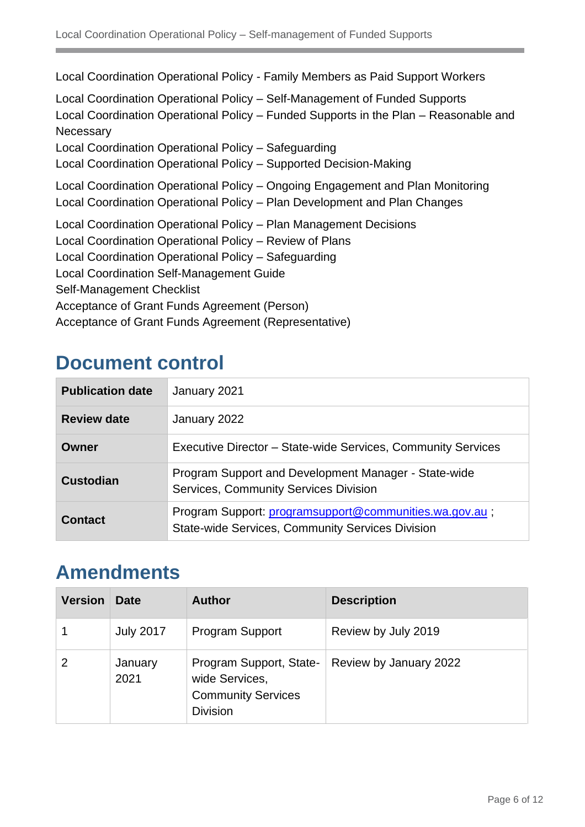Local Coordination Operational Policy - Family Members as Paid Support Workers Local Coordination Operational Policy – Self-Management of Funded Supports Local Coordination Operational Policy – Funded Supports in the Plan – Reasonable and **Necessary** Local Coordination Operational Policy – Safeguarding Local Coordination Operational Policy – Supported Decision-Making Local Coordination Operational Policy – Ongoing Engagement and Plan Monitoring Local Coordination Operational Policy – Plan Development and Plan Changes Local Coordination Operational Policy – Plan Management Decisions Local Coordination Operational Policy – Review of Plans Local Coordination Operational Policy – Safeguarding Local Coordination Self-Management Guide Self-Management Checklist Acceptance of Grant Funds Agreement (Person) Acceptance of Grant Funds Agreement (Representative)

### **Document control**

| <b>Publication date</b> | January 2021                                                                                               |  |
|-------------------------|------------------------------------------------------------------------------------------------------------|--|
| <b>Review date</b>      | January 2022                                                                                               |  |
| Owner                   | Executive Director - State-wide Services, Community Services                                               |  |
| <b>Custodian</b>        | Program Support and Development Manager - State-wide<br>Services, Community Services Division              |  |
| <b>Contact</b>          | Program Support: programsupport@communities.wa.gov.au;<br>State-wide Services, Community Services Division |  |

# **Amendments**

| <b>Version</b> | <b>Date</b>      | <b>Author</b>                                                                             | <b>Description</b>     |
|----------------|------------------|-------------------------------------------------------------------------------------------|------------------------|
|                | <b>July 2017</b> | <b>Program Support</b>                                                                    | Review by July 2019    |
|                | January<br>2021  | Program Support, State-<br>wide Services,<br><b>Community Services</b><br><b>Division</b> | Review by January 2022 |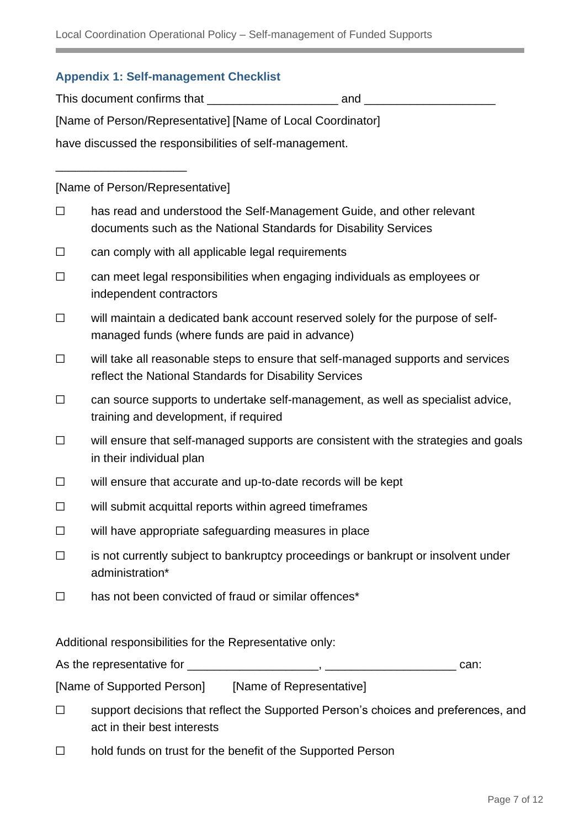#### **Appendix 1: Self-management Checklist**

This document confirms that \_\_\_\_\_\_\_\_\_\_\_\_\_\_\_\_\_\_\_\_ and \_\_\_\_\_\_\_\_\_\_\_\_\_\_\_\_\_\_\_\_

[Name of Person/Representative] [Name of Local Coordinator]

have discussed the responsibilities of self-management.

[Name of Person/Representative]

\_\_\_\_\_\_\_\_\_\_\_\_\_\_\_\_\_\_\_\_

- ☐ has read and understood the Self-Management Guide, and other relevant documents such as the National Standards for Disability Services
- $\Box$  can comply with all applicable legal requirements
- ☐ can meet legal responsibilities when engaging individuals as employees or independent contractors
- ☐ will maintain a dedicated bank account reserved solely for the purpose of selfmanaged funds (where funds are paid in advance)
- ☐ will take all reasonable steps to ensure that self-managed supports and services reflect the National Standards for Disability Services
- ☐ can source supports to undertake self-management, as well as specialist advice, training and development, if required
- ☐ will ensure that self-managed supports are consistent with the strategies and goals in their individual plan
- ☐ will ensure that accurate and up-to-date records will be kept
- ☐ will submit acquittal reports within agreed timeframes
- ☐ will have appropriate safeguarding measures in place
- ☐ is not currently subject to bankruptcy proceedings or bankrupt or insolvent under administration\*
- ☐ has not been convicted of fraud or similar offences\*

Additional responsibilities for the Representative only:

As the representative for \_\_\_\_\_\_\_\_\_\_\_\_\_\_\_\_\_\_\_\_, \_\_\_\_\_\_\_\_\_\_\_\_\_\_\_\_\_\_\_\_ can:

[Name of Supported Person] [Name of Representative]

- ☐ support decisions that reflect the Supported Person's choices and preferences, and act in their best interests
- ☐ hold funds on trust for the benefit of the Supported Person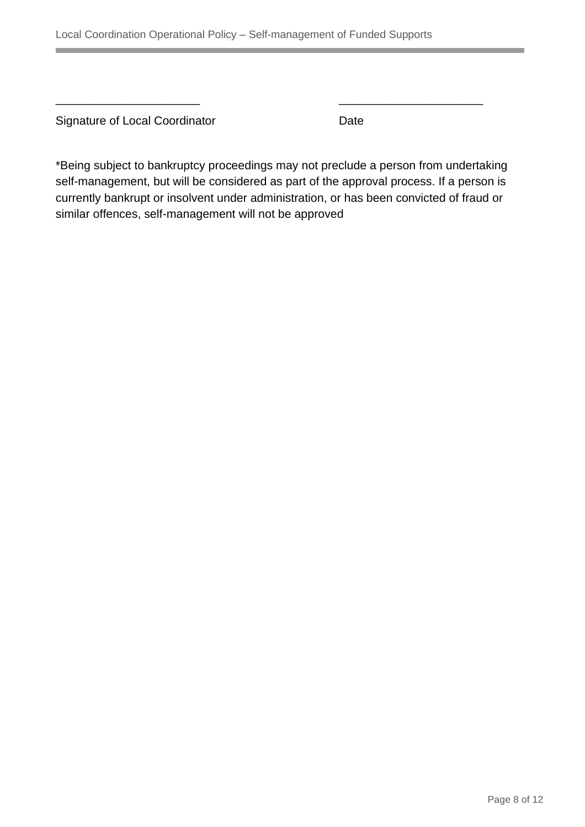Signature of Local Coordinator **Date** 

\*Being subject to bankruptcy proceedings may not preclude a person from undertaking self-management, but will be considered as part of the approval process. If a person is currently bankrupt or insolvent under administration, or has been convicted of fraud or similar offences, self-management will not be approved

\_\_\_\_\_\_\_\_\_\_\_\_\_\_\_\_\_\_\_\_\_\_ \_\_\_\_\_\_\_\_\_\_\_\_\_\_\_\_\_\_\_\_\_\_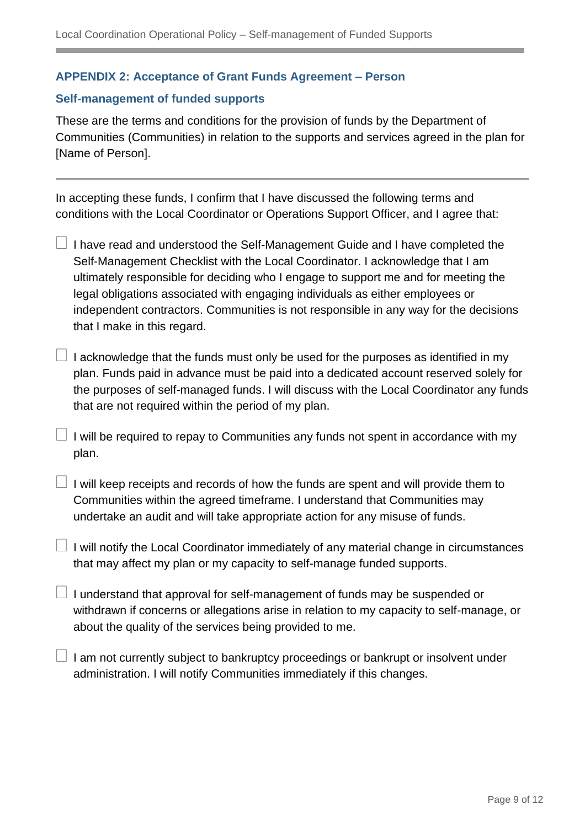#### **APPENDIX 2: Acceptance of Grant Funds Agreement – Person**

#### **Self-management of funded supports**

These are the terms and conditions for the provision of funds by the Department of Communities (Communities) in relation to the supports and services agreed in the plan for [Name of Person].

In accepting these funds, I confirm that I have discussed the following terms and conditions with the Local Coordinator or Operations Support Officer, and I agree that:

- $\Box$  I have read and understood the Self-Management Guide and I have completed the Self-Management Checklist with the Local Coordinator. I acknowledge that I am ultimately responsible for deciding who I engage to support me and for meeting the legal obligations associated with engaging individuals as either employees or independent contractors. Communities is not responsible in any way for the decisions that I make in this regard.
- $\Box$  I acknowledge that the funds must only be used for the purposes as identified in my plan. Funds paid in advance must be paid into a dedicated account reserved solely for the purposes of self-managed funds. I will discuss with the Local Coordinator any funds that are not required within the period of my plan.
- $\Box$  I will be required to repay to Communities any funds not spent in accordance with my plan.
- $\Box$  I will keep receipts and records of how the funds are spent and will provide them to Communities within the agreed timeframe. I understand that Communities may undertake an audit and will take appropriate action for any misuse of funds.
- $\Box$  I will notify the Local Coordinator immediately of any material change in circumstances that may affect my plan or my capacity to self-manage funded supports.
- $\Box$  I understand that approval for self-management of funds may be suspended or withdrawn if concerns or allegations arise in relation to my capacity to self-manage, or about the quality of the services being provided to me.
- $\perp$  I am not currently subject to bankruptcy proceedings or bankrupt or insolvent under administration. I will notify Communities immediately if this changes.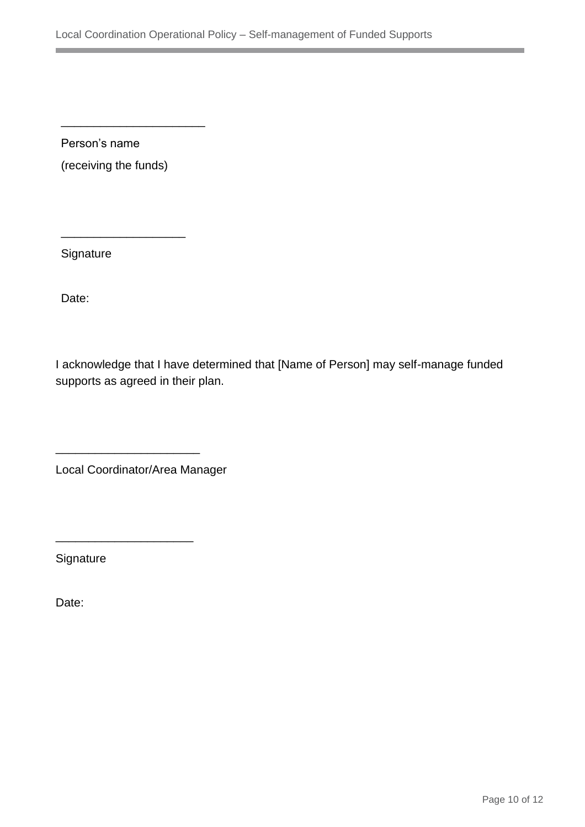Person's name (receiving the funds)

\_\_\_\_\_\_\_\_\_\_\_\_\_\_\_\_\_\_\_

\_\_\_\_\_\_\_\_\_\_\_\_\_\_\_\_\_\_\_\_\_\_

**Signature** 

Date:

I acknowledge that I have determined that [Name of Person] may self-manage funded supports as agreed in their plan.

Local Coordinator/Area Manager

\_\_\_\_\_\_\_\_\_\_\_\_\_\_\_\_\_\_\_\_\_\_

\_\_\_\_\_\_\_\_\_\_\_\_\_\_\_\_\_\_\_\_\_

**Signature** 

Date: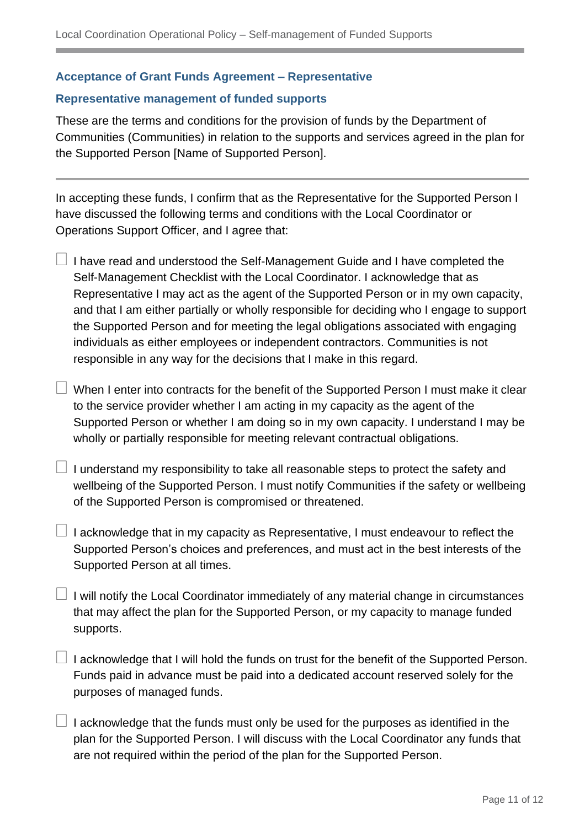#### **Acceptance of Grant Funds Agreement – Representative**

#### **Representative management of funded supports**

These are the terms and conditions for the provision of funds by the Department of Communities (Communities) in relation to the supports and services agreed in the plan for the Supported Person [Name of Supported Person].

In accepting these funds, I confirm that as the Representative for the Supported Person I have discussed the following terms and conditions with the Local Coordinator or Operations Support Officer, and I agree that:

- $\Box$  I have read and understood the Self-Management Guide and I have completed the Self-Management Checklist with the Local Coordinator. I acknowledge that as Representative I may act as the agent of the Supported Person or in my own capacity, and that I am either partially or wholly responsible for deciding who I engage to support the Supported Person and for meeting the legal obligations associated with engaging individuals as either employees or independent contractors. Communities is not responsible in any way for the decisions that I make in this regard.
	- When I enter into contracts for the benefit of the Supported Person I must make it clear to the service provider whether I am acting in my capacity as the agent of the Supported Person or whether I am doing so in my own capacity. I understand I may be wholly or partially responsible for meeting relevant contractual obligations.
- $\Box$  I understand my responsibility to take all reasonable steps to protect the safety and wellbeing of the Supported Person. I must notify Communities if the safety or wellbeing of the Supported Person is compromised or threatened.
- $\Box$  I acknowledge that in my capacity as Representative, I must endeavour to reflect the Supported Person's choices and preferences, and must act in the best interests of the Supported Person at all times.
- $\Box$  I will notify the Local Coordinator immediately of any material change in circumstances that may affect the plan for the Supported Person, or my capacity to manage funded supports.
- $\perp$  I acknowledge that I will hold the funds on trust for the benefit of the Supported Person. Funds paid in advance must be paid into a dedicated account reserved solely for the purposes of managed funds.
- I acknowledge that the funds must only be used for the purposes as identified in the plan for the Supported Person. I will discuss with the Local Coordinator any funds that are not required within the period of the plan for the Supported Person.